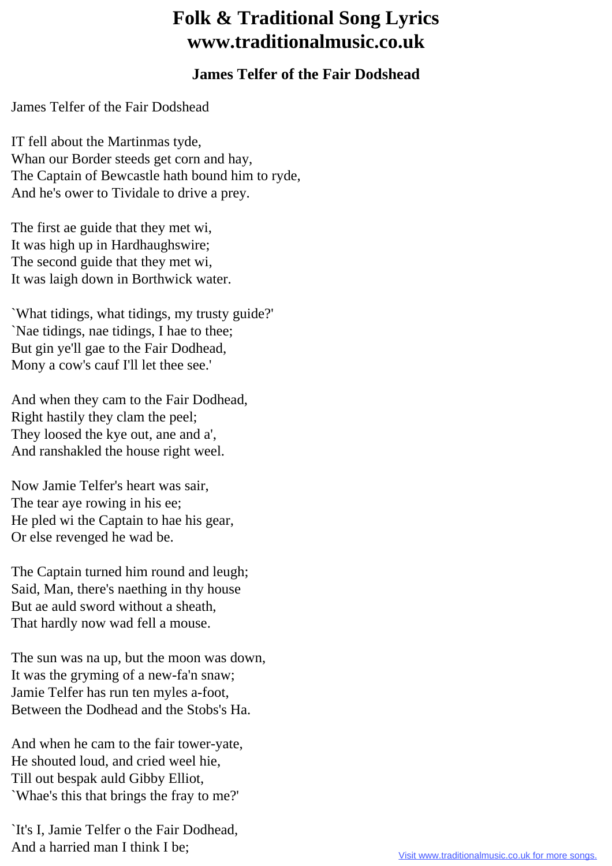## **Folk & Traditional Song Lyrics www.traditionalmusic.co.uk**

## **James Telfer of the Fair Dodshead**

James Telfer of the Fair Dodshead

IT fell about the Martinmas tyde, Whan our Border steeds get corn and hay, The Captain of Bewcastle hath bound him to ryde, And he's ower to Tividale to drive a prey.

The first ae guide that they met wi, It was high up in Hardhaughswire; The second guide that they met wi, It was laigh down in Borthwick water.

`What tidings, what tidings, my trusty guide?' `Nae tidings, nae tidings, I hae to thee; But gin ye'll gae to the Fair Dodhead, Mony a cow's cauf I'll let thee see.'

And when they cam to the Fair Dodhead, Right hastily they clam the peel; They loosed the kye out, ane and a', And ranshakled the house right weel.

Now Jamie Telfer's heart was sair, The tear aye rowing in his ee; He pled wi the Captain to hae his gear, Or else revenged he wad be.

The Captain turned him round and leugh; Said, Man, there's naething in thy house But ae auld sword without a sheath, That hardly now wad fell a mouse.

The sun was na up, but the moon was down, It was the gryming of a new-fa'n snaw; Jamie Telfer has run ten myles a-foot, Between the Dodhead and the Stobs's Ha.

And when he cam to the fair tower-yate, He shouted loud, and cried weel hie, Till out bespak auld Gibby Elliot, `Whae's this that brings the fray to me?'

`It's I, Jamie Telfer o the Fair Dodhead, And a harried man I think I be;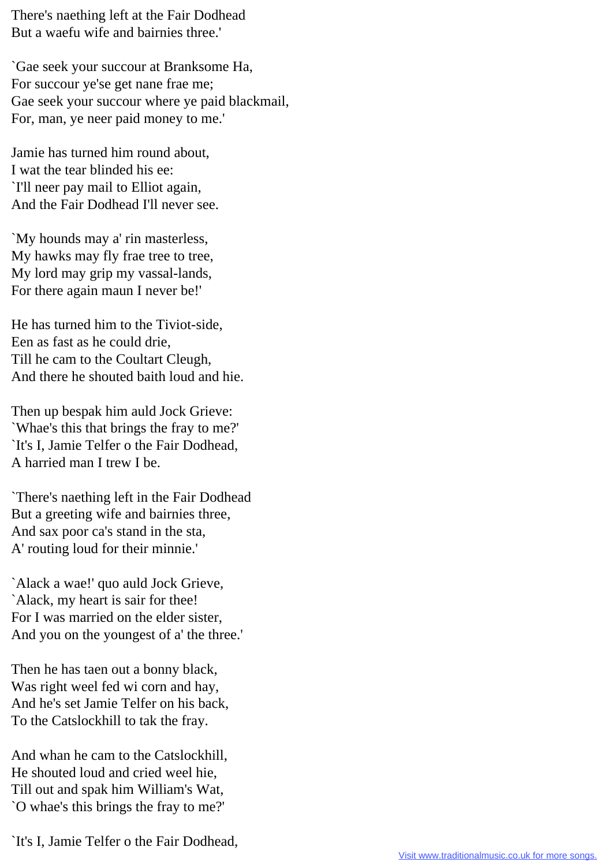There's naething left at the Fair Dodhead But a waefu wife and bairnies three.'

`Gae seek your succour at Branksome Ha, For succour ye'se get nane frae me; Gae seek your succour where ye paid blackmail, For, man, ye neer paid money to me.'

Jamie has turned him round about, I wat the tear blinded his ee: `I'll neer pay mail to Elliot again, And the Fair Dodhead I'll never see.

`My hounds may a' rin masterless, My hawks may fly frae tree to tree, My lord may grip my vassal-lands, For there again maun I never be!'

He has turned him to the Tiviot-side, Een as fast as he could drie, Till he cam to the Coultart Cleugh, And there he shouted baith loud and hie.

Then up bespak him auld Jock Grieve: `Whae's this that brings the fray to me?' `It's I, Jamie Telfer o the Fair Dodhead, A harried man I trew I be.

`There's naething left in the Fair Dodhead But a greeting wife and bairnies three, And sax poor ca's stand in the sta, A' routing loud for their minnie.'

`Alack a wae!' quo auld Jock Grieve, `Alack, my heart is sair for thee! For I was married on the elder sister, And you on the youngest of a' the three.'

Then he has taen out a bonny black, Was right weel fed wi corn and hay, And he's set Jamie Telfer on his back, To the Catslockhill to tak the fray.

And whan he cam to the Catslockhill, He shouted loud and cried weel hie, Till out and spak him William's Wat, `O whae's this brings the fray to me?'

`It's I, Jamie Telfer o the Fair Dodhead,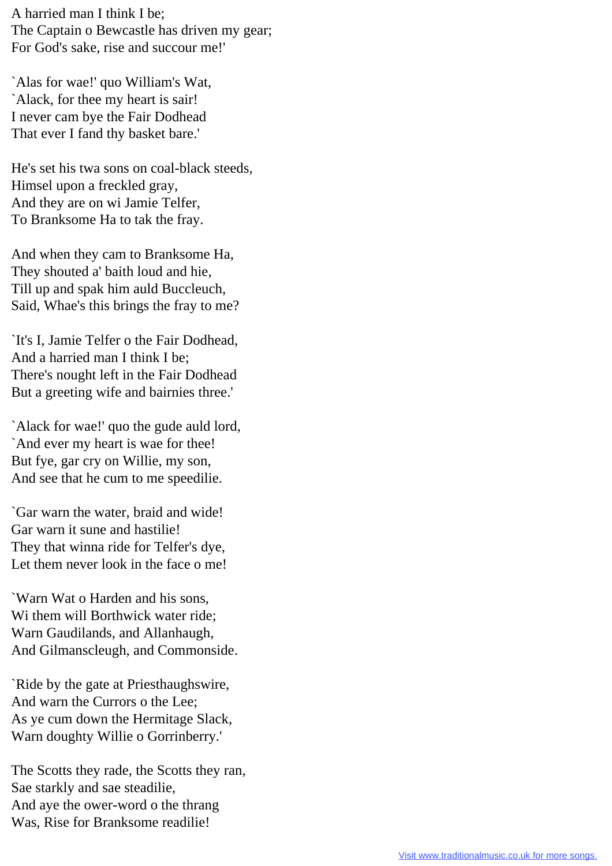A harried man I think I be; The Captain o Bewcastle has driven my gear; For God's sake, rise and succour me!'

`Alas for wae!' quo William's Wat, `Alack, for thee my heart is sair! I never cam bye the Fair Dodhead That ever I fand thy basket bare.'

He's set his twa sons on coal-black steeds, Himsel upon a freckled gray, And they are on wi Jamie Telfer, To Branksome Ha to tak the fray.

And when they cam to Branksome Ha, They shouted a' baith loud and hie, Till up and spak him auld Buccleuch, Said, Whae's this brings the fray to me?

`It's I, Jamie Telfer o the Fair Dodhead, And a harried man I think I be; There's nought left in the Fair Dodhead But a greeting wife and bairnies three.'

`Alack for wae!' quo the gude auld lord, `And ever my heart is wae for thee! But fye, gar cry on Willie, my son, And see that he cum to me speedilie.

`Gar warn the water, braid and wide! Gar warn it sune and hastilie! They that winna ride for Telfer's dye, Let them never look in the face o me!

`Warn Wat o Harden and his sons, Wi them will Borthwick water ride; Warn Gaudilands, and Allanhaugh, And Gilmanscleugh, and Commonside.

`Ride by the gate at Priesthaughswire, And warn the Currors o the Lee; As ye cum down the Hermitage Slack, Warn doughty Willie o Gorrinberry.'

The Scotts they rade, the Scotts they ran, Sae starkly and sae steadilie, And aye the ower-word o the thrang Was, Rise for Branksome readilie!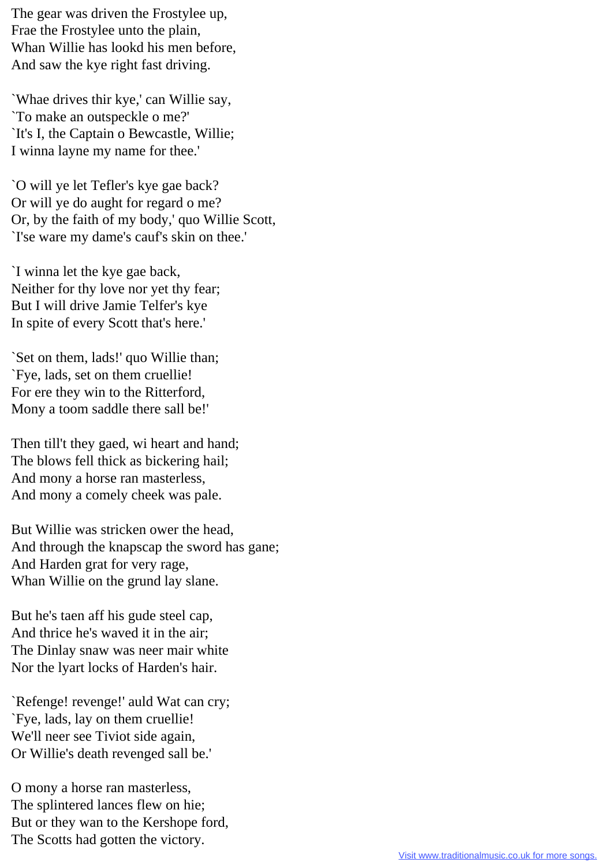The gear was driven the Frostylee up, Frae the Frostylee unto the plain, Whan Willie has lookd his men before, And saw the kye right fast driving.

`Whae drives thir kye,' can Willie say, `To make an outspeckle o me?' `It's I, the Captain o Bewcastle, Willie; I winna layne my name for thee.'

`O will ye let Tefler's kye gae back? Or will ye do aught for regard o me? Or, by the faith of my body,' quo Willie Scott, `I'se ware my dame's cauf's skin on thee.'

`I winna let the kye gae back, Neither for thy love nor yet thy fear; But I will drive Jamie Telfer's kye In spite of every Scott that's here.'

`Set on them, lads!' quo Willie than; `Fye, lads, set on them cruellie! For ere they win to the Ritterford, Mony a toom saddle there sall be!'

Then till't they gaed, wi heart and hand; The blows fell thick as bickering hail; And mony a horse ran masterless, And mony a comely cheek was pale.

But Willie was stricken ower the head, And through the knapscap the sword has gane; And Harden grat for very rage, Whan Willie on the grund lay slane.

But he's taen aff his gude steel cap, And thrice he's waved it in the air; The Dinlay snaw was neer mair white Nor the lyart locks of Harden's hair.

`Refenge! revenge!' auld Wat can cry; `Fye, lads, lay on them cruellie! We'll neer see Tiviot side again, Or Willie's death revenged sall be.'

O mony a horse ran masterless, The splintered lances flew on hie; But or they wan to the Kershope ford, The Scotts had gotten the victory.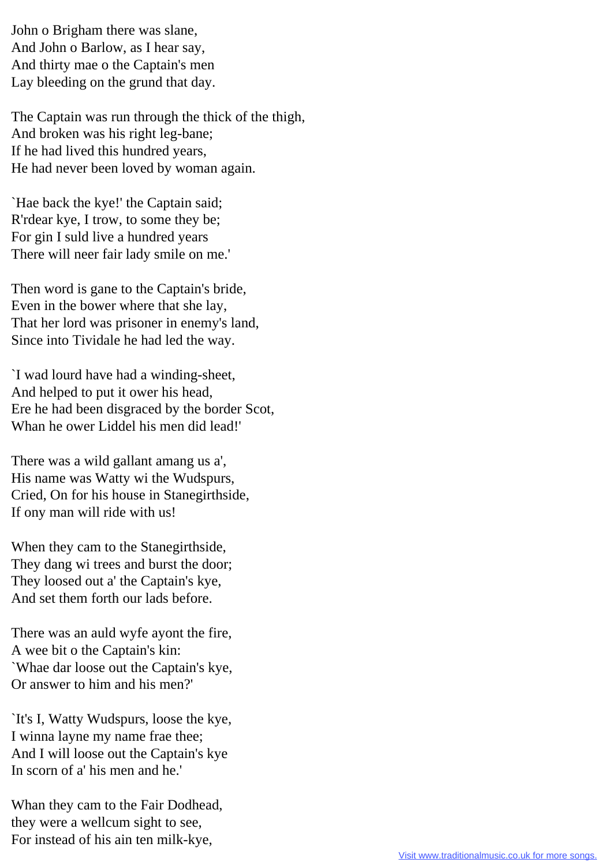John o Brigham there was slane, And John o Barlow, as I hear say, And thirty mae o the Captain's men Lay bleeding on the grund that day.

The Captain was run through the thick of the thigh, And broken was his right leg-bane; If he had lived this hundred years, He had never been loved by woman again.

`Hae back the kye!' the Captain said; R'rdear kye, I trow, to some they be; For gin I suld live a hundred years There will neer fair lady smile on me.'

Then word is gane to the Captain's bride, Even in the bower where that she lay, That her lord was prisoner in enemy's land, Since into Tividale he had led the way.

`I wad lourd have had a winding-sheet, And helped to put it ower his head, Ere he had been disgraced by the border Scot, Whan he ower Liddel his men did lead!'

There was a wild gallant amang us a', His name was Watty wi the Wudspurs, Cried, On for his house in Stanegirthside, If ony man will ride with us!

When they cam to the Stanegirthside, They dang wi trees and burst the door; They loosed out a' the Captain's kye, And set them forth our lads before.

There was an auld wyfe ayont the fire, A wee bit o the Captain's kin: `Whae dar loose out the Captain's kye, Or answer to him and his men?'

`It's I, Watty Wudspurs, loose the kye, I winna layne my name frae thee; And I will loose out the Captain's kye In scorn of a' his men and he.'

Whan they cam to the Fair Dodhead, they were a wellcum sight to see, For instead of his ain ten milk-kye,